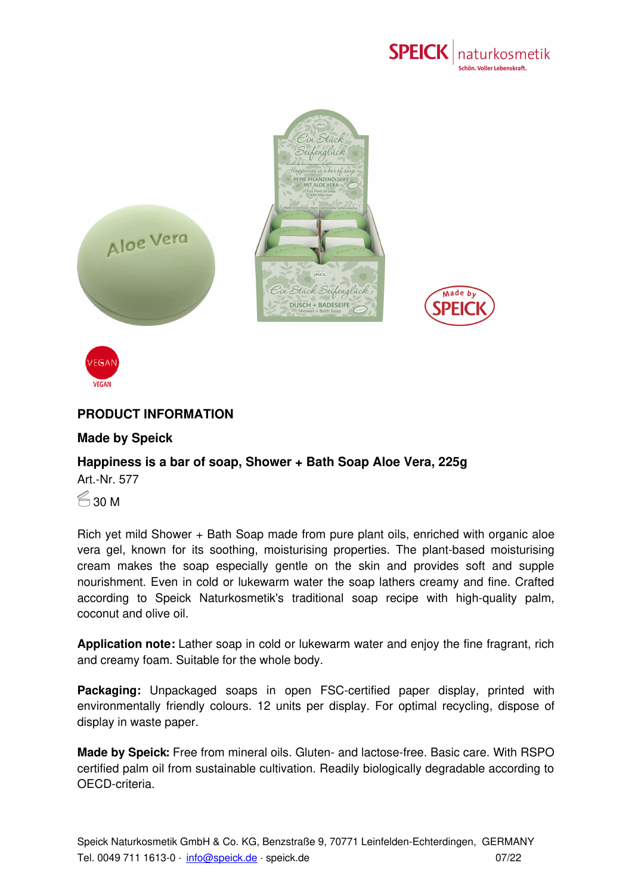



## **PRODUCT INFORMATION**

## **Made by Speick**

## **Happiness is a bar of soap, Shower + Bath Soap Aloe Vera, 225g** Art.-Nr. 577

 $\approx$  30 M

**VEGAN** 

Rich yet mild Shower + Bath Soap made from pure plant oils, enriched with organic aloe vera gel, known for its soothing, moisturising properties. The plant-based moisturising cream makes the soap especially gentle on the skin and provides soft and supple nourishment. Even in cold or lukewarm water the soap lathers creamy and fine. Crafted according to Speick Naturkosmetik's traditional soap recipe with high-quality palm, coconut and olive oil.

**Application note:** Lather soap in cold or lukewarm water and enjoy the fine fragrant, rich and creamy foam. Suitable for the whole body.

**Packaging:** Unpackaged soaps in open FSC-certified paper display, printed with environmentally friendly colours. 12 units per display. For optimal recycling, dispose of display in waste paper.

**Made by Speick:** Free from [miner](mailto:info@speick.de)al oils. Gluten- and lactose-free. Basic care. With RSPO certified palm oil from sustainable cultivation. Readily biologically degradable according to OECD-criteria.